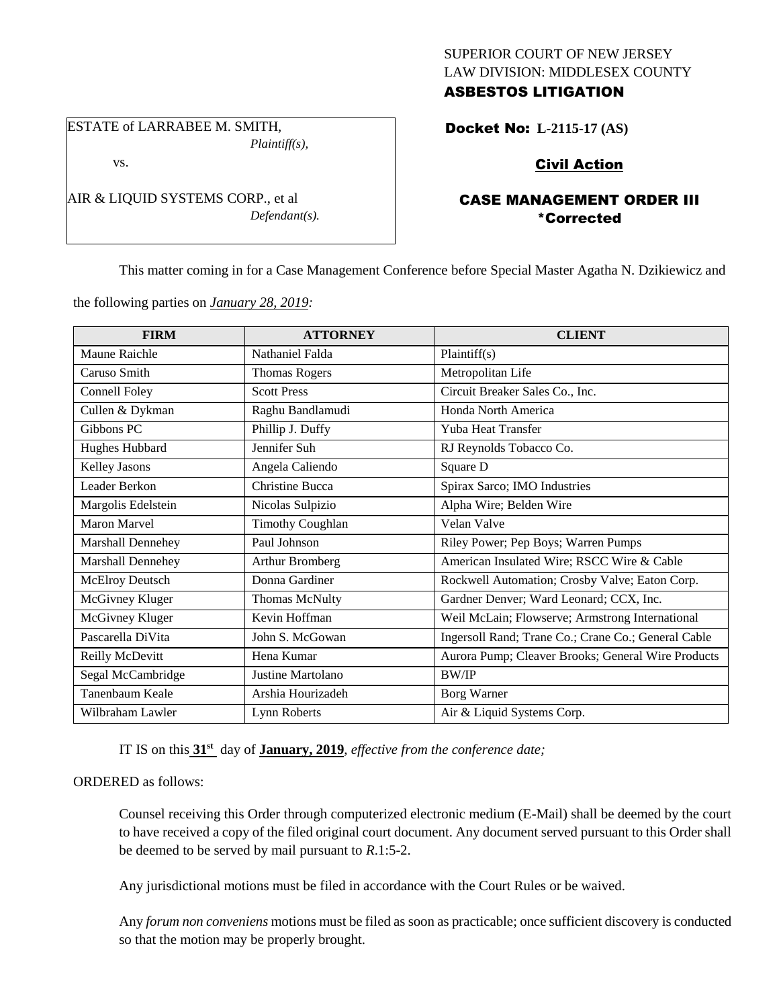# SUPERIOR COURT OF NEW JERSEY LAW DIVISION: MIDDLESEX COUNTY ASBESTOS LITIGATION

ESTATE of LARRABEE M. SMITH, *Plaintiff(s),*

AIR & LIQUID SYSTEMS CORP., et al

*Defendant(s).*

vs.

Docket No: **L-2115-17 (AS)** 

# Civil Action

# CASE MANAGEMENT ORDER III \*Corrected

This matter coming in for a Case Management Conference before Special Master Agatha N. Dzikiewicz and

the following parties on *January 28, 2019:*

| <b>FIRM</b>            | <b>ATTORNEY</b>         | <b>CLIENT</b>                                       |
|------------------------|-------------------------|-----------------------------------------------------|
| Maune Raichle          | Nathaniel Falda         | Plaintiff(s)                                        |
| Caruso Smith           | <b>Thomas Rogers</b>    | Metropolitan Life                                   |
| Connell Foley          | <b>Scott Press</b>      | Circuit Breaker Sales Co., Inc.                     |
| Cullen & Dykman        | Raghu Bandlamudi        | Honda North America                                 |
| Gibbons PC             | Phillip J. Duffy        | Yuba Heat Transfer                                  |
| Hughes Hubbard         | Jennifer Suh            | RJ Reynolds Tobacco Co.                             |
| <b>Kelley Jasons</b>   | Angela Caliendo         | Square D                                            |
| Leader Berkon          | Christine Bucca         | Spirax Sarco; IMO Industries                        |
| Margolis Edelstein     | Nicolas Sulpizio        | Alpha Wire; Belden Wire                             |
| <b>Maron Marvel</b>    | <b>Timothy Coughlan</b> | Velan Valve                                         |
| Marshall Dennehey      | Paul Johnson            | Riley Power; Pep Boys; Warren Pumps                 |
| Marshall Dennehey      | Arthur Bromberg         | American Insulated Wire; RSCC Wire & Cable          |
| <b>McElroy Deutsch</b> | Donna Gardiner          | Rockwell Automation; Crosby Valve; Eaton Corp.      |
| McGivney Kluger        | <b>Thomas McNulty</b>   | Gardner Denver; Ward Leonard; CCX, Inc.             |
| McGivney Kluger        | Kevin Hoffman           | Weil McLain; Flowserve; Armstrong International     |
| Pascarella DiVita      | John S. McGowan         | Ingersoll Rand; Trane Co.; Crane Co.; General Cable |
| Reilly McDevitt        | Hena Kumar              | Aurora Pump; Cleaver Brooks; General Wire Products  |
| Segal McCambridge      | Justine Martolano       | BW/IP                                               |
| Tanenbaum Keale        | Arshia Hourizadeh       | Borg Warner                                         |
| Wilbraham Lawler       | Lynn Roberts            | Air & Liquid Systems Corp.                          |

IT IS on this **31st** day of **January, 2019**, *effective from the conference date;*

### ORDERED as follows:

Counsel receiving this Order through computerized electronic medium (E-Mail) shall be deemed by the court to have received a copy of the filed original court document. Any document served pursuant to this Order shall be deemed to be served by mail pursuant to *R*.1:5-2.

Any jurisdictional motions must be filed in accordance with the Court Rules or be waived.

Any *forum non conveniens* motions must be filed as soon as practicable; once sufficient discovery is conducted so that the motion may be properly brought.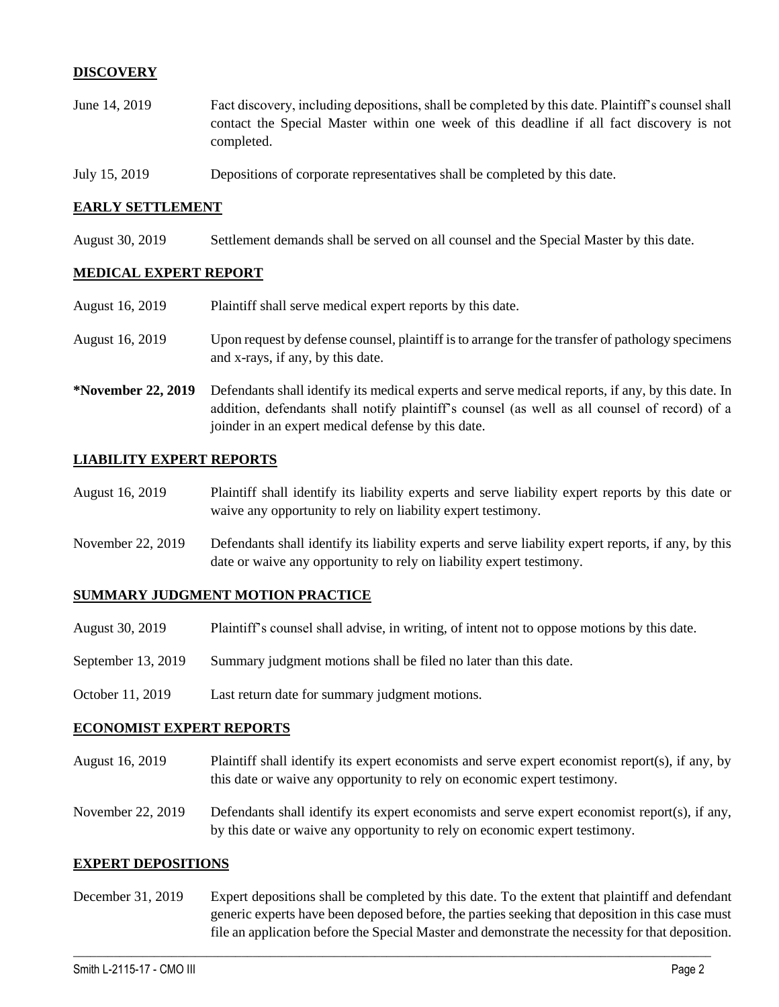# **DISCOVERY**

- June 14, 2019 Fact discovery, including depositions, shall be completed by this date. Plaintiff's counsel shall contact the Special Master within one week of this deadline if all fact discovery is not completed.
- July 15, 2019 Depositions of corporate representatives shall be completed by this date.

### **EARLY SETTLEMENT**

August 30, 2019 Settlement demands shall be served on all counsel and the Special Master by this date.

## **MEDICAL EXPERT REPORT**

- August 16, 2019 Plaintiff shall serve medical expert reports by this date.
- August 16, 2019 Upon request by defense counsel, plaintiff is to arrange for the transfer of pathology specimens and x-rays, if any, by this date.
- **\*November 22, 2019** Defendants shall identify its medical experts and serve medical reports, if any, by this date. In addition, defendants shall notify plaintiff's counsel (as well as all counsel of record) of a joinder in an expert medical defense by this date.

#### **LIABILITY EXPERT REPORTS**

- August 16, 2019 Plaintiff shall identify its liability experts and serve liability expert reports by this date or waive any opportunity to rely on liability expert testimony.
- November 22, 2019 Defendants shall identify its liability experts and serve liability expert reports, if any, by this date or waive any opportunity to rely on liability expert testimony.

#### **SUMMARY JUDGMENT MOTION PRACTICE**

- August 30, 2019 Plaintiff's counsel shall advise, in writing, of intent not to oppose motions by this date.
- September 13, 2019 Summary judgment motions shall be filed no later than this date.
- October 11, 2019 Last return date for summary judgment motions.

### **ECONOMIST EXPERT REPORTS**

- August 16, 2019 Plaintiff shall identify its expert economists and serve expert economist report(s), if any, by this date or waive any opportunity to rely on economic expert testimony.
- November 22, 2019 Defendants shall identify its expert economists and serve expert economist report(s), if any, by this date or waive any opportunity to rely on economic expert testimony.

#### **EXPERT DEPOSITIONS**

December 31, 2019 Expert depositions shall be completed by this date. To the extent that plaintiff and defendant generic experts have been deposed before, the parties seeking that deposition in this case must file an application before the Special Master and demonstrate the necessity for that deposition.

 $\_$  ,  $\_$  ,  $\_$  ,  $\_$  ,  $\_$  ,  $\_$  ,  $\_$  ,  $\_$  ,  $\_$  ,  $\_$  ,  $\_$  ,  $\_$  ,  $\_$  ,  $\_$  ,  $\_$  ,  $\_$  ,  $\_$  ,  $\_$  ,  $\_$  ,  $\_$  ,  $\_$  ,  $\_$  ,  $\_$  ,  $\_$  ,  $\_$  ,  $\_$  ,  $\_$  ,  $\_$  ,  $\_$  ,  $\_$  ,  $\_$  ,  $\_$  ,  $\_$  ,  $\_$  ,  $\_$  ,  $\_$  ,  $\_$  ,